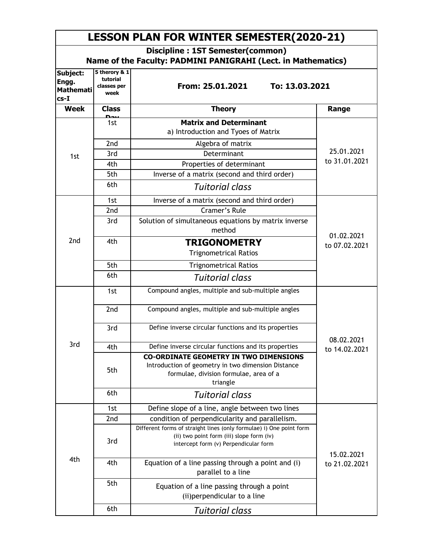| <b>LESSON PLAN FOR WINTER SEMESTER(2020-21)</b><br>Discipline : 1ST Semester(common)<br>Name of the Faculty: PADMINI PANIGRAHI (Lect. in Mathematics) |                 |                                                                                                                                                           |                             |  |  |
|-------------------------------------------------------------------------------------------------------------------------------------------------------|-----------------|-----------------------------------------------------------------------------------------------------------------------------------------------------------|-----------------------------|--|--|
|                                                                                                                                                       |                 |                                                                                                                                                           |                             |  |  |
| Week                                                                                                                                                  | <b>Class</b>    | <b>Theory</b>                                                                                                                                             | Range                       |  |  |
| 1st                                                                                                                                                   | 1st             | <b>Matrix and Determinant</b><br>a) Introduction and Tyoes of Matrix                                                                                      | 25.01.2021<br>to 31.01.2021 |  |  |
|                                                                                                                                                       | 2nd             | Algebra of matrix                                                                                                                                         |                             |  |  |
|                                                                                                                                                       | 3rd             | Determinant                                                                                                                                               |                             |  |  |
|                                                                                                                                                       | 4th             | Properties of determinant                                                                                                                                 |                             |  |  |
|                                                                                                                                                       | 5th             | Inverse of a matrix (second and third order)                                                                                                              |                             |  |  |
|                                                                                                                                                       | 6th             | <b>Tuitorial class</b>                                                                                                                                    |                             |  |  |
|                                                                                                                                                       | 1st             | Inverse of a matrix (second and third order)                                                                                                              | 01.02.2021<br>to 07.02.2021 |  |  |
|                                                                                                                                                       | 2nd             | <b>Cramer's Rule</b>                                                                                                                                      |                             |  |  |
| 2 <sub>nd</sub>                                                                                                                                       | 3rd             | Solution of simultaneous equations by matrix inverse<br>method                                                                                            |                             |  |  |
|                                                                                                                                                       | 4th             | <b>TRIGONOMETRY</b><br><b>Trignometrical Ratios</b>                                                                                                       |                             |  |  |
|                                                                                                                                                       | 5th             | <b>Trignometrical Ratios</b>                                                                                                                              |                             |  |  |
|                                                                                                                                                       | 6th             | <b>Tuitorial class</b>                                                                                                                                    |                             |  |  |
| 3rd                                                                                                                                                   | 1st             | Compound angles, multiple and sub-multiple angles                                                                                                         |                             |  |  |
|                                                                                                                                                       | 2 <sub>nd</sub> | Compound angles, multiple and sub-multiple angles                                                                                                         |                             |  |  |
|                                                                                                                                                       | 3rd             | Define inverse circular functions and its properties                                                                                                      |                             |  |  |
|                                                                                                                                                       | 4th             | Define inverse circular functions and its properties                                                                                                      | 08.02.2021<br>to 14.02.2021 |  |  |
|                                                                                                                                                       | 5th             | <b>CO-ORDINATE GEOMETRY IN TWO DIMENSIONS</b><br>Introduction of geometry in two dimension Distance<br>formulae, division formulae, area of a<br>triangle |                             |  |  |
|                                                                                                                                                       | 6th             | <b>Tuitorial class</b>                                                                                                                                    |                             |  |  |
| 4th                                                                                                                                                   | 1st             | Define slope of a line, angle between two lines                                                                                                           |                             |  |  |
|                                                                                                                                                       | 2nd             | condition of perpendicularity and parallelism.                                                                                                            |                             |  |  |
|                                                                                                                                                       | 3rd             | Different forms of straight lines (only formulae) i) One point form<br>(ii) two point form (iii) slope form (iv)<br>intercept form (v) Perpendicular form | 15.02.2021<br>to 21.02.2021 |  |  |
|                                                                                                                                                       | 4th             | Equation of a line passing through a point and (i)<br>parallel to a line                                                                                  |                             |  |  |
|                                                                                                                                                       | 5th             | Equation of a line passing through a point<br>(ii) perpendicular to a line                                                                                |                             |  |  |
|                                                                                                                                                       | 6th             | <u>Tuitorial class</u>                                                                                                                                    |                             |  |  |